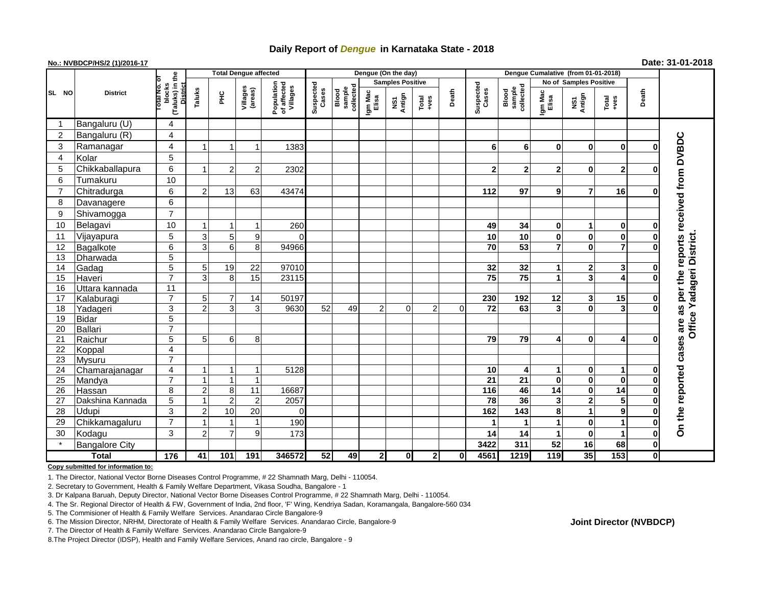## **Daily Report of** *Dengue* **in Karnataka State - 2018**

## **No.: NVBDCP/HS/2 (1)/2016-17 Date: 31-01-2018**

|                 | <b>District</b>       |                                                   | <b>Total Dengue affected</b> |                |                          |                                       |                    |                              |                         | Dengue (On the day)               |                                                              |                |                    |                              |                               |                         |                  |              |                                     |
|-----------------|-----------------------|---------------------------------------------------|------------------------------|----------------|--------------------------|---------------------------------------|--------------------|------------------------------|-------------------------|-----------------------------------|--------------------------------------------------------------|----------------|--------------------|------------------------------|-------------------------------|-------------------------|------------------|--------------|-------------------------------------|
|                 |                       |                                                   |                              |                |                          |                                       |                    |                              | <b>Samples Positive</b> |                                   |                                                              |                |                    |                              | <b>No of Samples Positive</b> |                         |                  |              |                                     |
| SL NO           |                       | (Taluks) in the<br>blocks<br>District<br>otal No. | Taluks                       | ĔС             | Villages<br>(areas)      | Population<br>of affected<br>Villages | Suspected<br>Cases | sample<br>collected<br>Blood | Igm Mac<br>Elisa        | Antign<br>$\overline{\mathbf{s}}$ | $\begin{array}{c}\n\text{Total} \\ \text{14.4}\n\end{array}$ | Death          | Suspected<br>Cases | Blood<br>sample<br>collected | Igm Mac<br>Elisa              | NS1<br>Antign           | Total<br>$+ve$ s | Death        |                                     |
|                 | Bangaluru (U)         | 4                                                 |                              |                |                          |                                       |                    |                              |                         |                                   |                                                              |                |                    |                              |                               |                         |                  |              |                                     |
| 2               | Bangaluru (R)         | 4                                                 |                              |                |                          |                                       |                    |                              |                         |                                   |                                                              |                |                    |                              |                               |                         |                  |              |                                     |
| 3               | Ramanagar             | 4                                                 |                              |                | $\overline{\phantom{a}}$ | 1383                                  |                    |                              |                         |                                   |                                                              |                | 6                  | 6                            | 0                             | 0                       | $\bf{0}$         | $\Omega$     | reports received from DVBDC         |
| $\overline{4}$  | Kolar                 | 5                                                 |                              |                |                          |                                       |                    |                              |                         |                                   |                                                              |                |                    |                              |                               |                         |                  |              |                                     |
| 5               | Chikkaballapura       | 6                                                 |                              | $\overline{2}$ | 2                        | 2302                                  |                    |                              |                         |                                   |                                                              |                | $\overline{2}$     | $\mathbf{2}$                 | $\mathbf{2}$                  | 0                       | $\mathbf{2}$     | 0            |                                     |
| 6               | Tumakuru              | 10                                                |                              |                |                          |                                       |                    |                              |                         |                                   |                                                              |                |                    |                              |                               |                         |                  |              |                                     |
| $\overline{7}$  | Chitradurga           | $\,6$                                             | 2                            | 13             | 63                       | 43474                                 |                    |                              |                         |                                   |                                                              |                | 112                | 97                           | 9                             | 7                       | 16               | O            |                                     |
| 8               | Davanagere            | 6                                                 |                              |                |                          |                                       |                    |                              |                         |                                   |                                                              |                |                    |                              |                               |                         |                  |              |                                     |
| 9               | Shivamogga            | $\overline{7}$                                    |                              |                |                          |                                       |                    |                              |                         |                                   |                                                              |                |                    |                              |                               |                         |                  |              |                                     |
| 10              | Belagavi              | 10                                                |                              |                |                          | 260                                   |                    |                              |                         |                                   |                                                              |                | 49                 | 34                           | $\mathbf{0}$                  | 1                       | $\bf{0}$         | 0            |                                     |
| 11              | Vijayapura            | $\overline{5}$                                    | 3                            | 5 <sup>1</sup> | 9                        | $\Omega$                              |                    |                              |                         |                                   |                                                              |                | 10                 | 10                           | $\mathbf 0$                   | $\bf{0}$                | $\bf{0}$         | $\bf{0}$     |                                     |
| 12              | Bagalkote             | $6\overline{6}$                                   | 3                            | 6 <sup>1</sup> | 8 <sup>1</sup>           | 94966                                 |                    |                              |                         |                                   |                                                              |                | $\overline{70}$    | 53                           | $\overline{7}$                | $\bf{0}$                | $\overline{7}$   | $\bf{0}$     |                                     |
| 13              | Dharwada              | $\overline{5}$                                    |                              |                |                          |                                       |                    |                              |                         |                                   |                                                              |                |                    |                              |                               |                         |                  |              |                                     |
| 14              | Gadag                 | $\overline{5}$                                    | 5 <sup>1</sup>               | 19             | 22                       | 97010                                 |                    |                              |                         |                                   |                                                              |                | $\overline{32}$    | 32                           | 1                             | 2                       | 3                | $\bf{0}$     |                                     |
| 15              | Haveri                | $\overline{7}$                                    | 3                            | 8 <sup>1</sup> | 15                       | 23115                                 |                    |                              |                         |                                   |                                                              |                | 75                 | $\overline{75}$              | $\mathbf{1}$                  | 3                       | 4                | $\mathbf 0$  | Office Yadageri District<br>per the |
| 16              | Uttara kannada        | $\overline{11}$                                   |                              |                |                          |                                       |                    |                              |                         |                                   |                                                              |                |                    |                              |                               |                         |                  |              |                                     |
| 17              | Kalaburagi            | $\overline{7}$                                    | 5                            | 7              | 14                       | 50197                                 |                    |                              |                         |                                   |                                                              |                | 230                | 192                          | 12                            | 3                       | 15               | $\mathbf 0$  |                                     |
| 18              | Yadageri              | $\overline{3}$                                    | $\mathcal{P}$                | $\overline{3}$ | $\overline{3}$           | 9630                                  | 52                 | 49                           | 2                       | $\mathbf 0$                       | $\overline{2}$                                               | $\overline{0}$ | $\overline{72}$    | 63                           | 3 <sup>1</sup>                | 0                       | 3                | $\bf{0}$     | U)<br>æ                             |
| 19              | <b>Bidar</b>          | $\overline{5}$                                    |                              |                |                          |                                       |                    |                              |                         |                                   |                                                              |                |                    |                              |                               |                         |                  |              |                                     |
| 20              | <b>Ballari</b>        | $\overline{7}$                                    |                              |                |                          |                                       |                    |                              |                         |                                   |                                                              |                |                    |                              |                               |                         |                  |              | are                                 |
| 21              | Raichur               | $\overline{5}$                                    | 5                            | 6              | 8 <sup>1</sup>           |                                       |                    |                              |                         |                                   |                                                              |                | 79                 | 79                           | $\overline{4}$                | 0                       | 4                | $\Omega$     |                                     |
| 22              | Koppal                | 4                                                 |                              |                |                          |                                       |                    |                              |                         |                                   |                                                              |                |                    |                              |                               |                         |                  |              |                                     |
| 23              | <b>Mysuru</b>         | $\overline{7}$                                    |                              |                |                          |                                       |                    |                              |                         |                                   |                                                              |                |                    |                              |                               |                         |                  |              |                                     |
| $\overline{24}$ | Chamarajanagar        | 4                                                 |                              |                | $\mathbf 1$              | 5128                                  |                    |                              |                         |                                   |                                                              |                | 10                 | 4                            | 1                             | 0                       | $\mathbf 1$      | 0            |                                     |
| 25              | Mandya                | $\overline{7}$                                    |                              |                | $\overline{1}$           |                                       |                    |                              |                         |                                   |                                                              |                | $\overline{21}$    | 21                           | $\mathbf 0$                   | 0                       | $\bf{0}$         | $\bf{0}$     |                                     |
| 26              | Hassan                | 8                                                 | 2                            | 8 <sup>1</sup> | 11                       | 16687                                 |                    |                              |                         |                                   |                                                              |                | 116                | 46                           | 14                            | $\mathbf 0$             | 14               | 0            |                                     |
| 27              | Dakshina Kannada      | $\overline{5}$                                    |                              | 2 <sup>1</sup> | $\overline{2}$           | 2057                                  |                    |                              |                         |                                   |                                                              |                | $\overline{78}$    | 36                           | 3                             | $\overline{\mathbf{2}}$ | 5                | $\bf{0}$     |                                     |
| 28              | Udupi                 | $\mathfrak{S}$                                    | 2                            | 10             | 20                       | $\Omega$                              |                    |                              |                         |                                   |                                                              |                | 162                | 143                          | 8                             | 1                       | $\boldsymbol{9}$ | $\bf{0}$     |                                     |
| 29              | Chikkamagaluru        | $\overline{7}$                                    |                              |                | -1                       | 190                                   |                    |                              |                         |                                   |                                                              |                | 1                  |                              | 1                             | $\mathbf 0$             | $\mathbf{1}$     | $\bf{0}$     | On the reported cases               |
| 30              | Kodagu                | $\mathbf{3}$                                      | $\overline{2}$               | $\overline{7}$ | 9                        | 173                                   |                    |                              |                         |                                   |                                                              |                | 14                 | 14                           | 1                             | $\mathbf 0$             | $\mathbf{1}$     | $\mathbf 0$  |                                     |
|                 | <b>Bangalore City</b> |                                                   |                              |                |                          |                                       |                    |                              |                         |                                   |                                                              |                | 3422               | 311                          | 52                            | 16                      | 68               | $\mathbf 0$  |                                     |
| <b>Total</b>    |                       | $\frac{1}{176}$                                   | 41                           | 101            | 191                      | 346572                                | 52                 | 49                           | 2                       | $\mathbf{0}$                      | $\mathbf{2}$                                                 | $\mathbf 0$    | 4561               | 1219                         | 119                           | 35                      | 153              | $\mathbf{0}$ |                                     |

**Copy submitted for information to:**

1. The Director, National Vector Borne Diseases Control Programme, # 22 Shamnath Marg, Delhi - 110054.

2. Secretary to Government, Health & Family Welfare Department, Vikasa Soudha, Bangalore - 1

3. Dr Kalpana Baruah, Deputy Director, National Vector Borne Diseases Control Programme, # 22 Shamnath Marg, Delhi - 110054.

4. The Sr. Regional Director of Health & FW, Government of India, 2nd floor, 'F' Wing, Kendriya Sadan, Koramangala, Bangalore-560 034

5. The Commisioner of Health & Family Welfare Services. Anandarao Circle Bangalore-9

7. The Director of Health & Family Welfare Services. Anandarao Circle Bangalore-9

8.The Project Director (IDSP), Health and Family Welfare Services, Anand rao circle, Bangalore - 9

## **Joint Director (NVBDCP)**

<sup>6.</sup> The Mission Director, NRHM, Directorate of Health & Family Welfare Services. Anandarao Circle, Bangalore-9